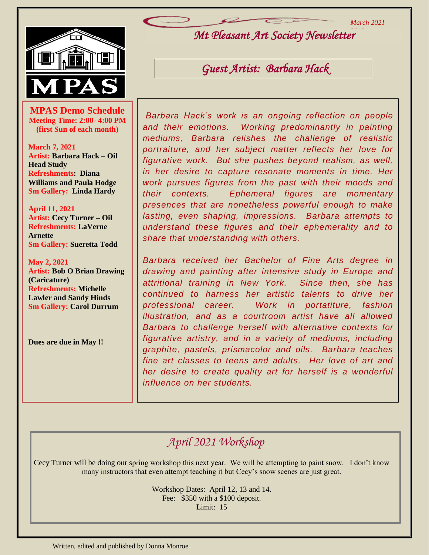*March 2021*



**MPAS Demo Schedule**<br> **Meeting Time: 2:00- 4:00 PM**<br>
<u>(Gint Sun of each month)</u> **Meeting Time: 2:00- 4:00 PM (first Sun of each month)**

**March 7, 2021 Artist: Barbara Hack – Oil Head Study Refreshments: Diana Williams and Paula Hodge Sm Gallery: Linda Hardy**

**April 11, 2021 Artist: Cecy Turner – Oil Refreshments: LaVerne Arnette Sm Gallery: Sueretta Todd**

**May 2, 2021 Artist: Bob O Brian Drawing (Caricature) Refreshments: Michelle Lawler and Sandy Hinds Sm Gallery: Carol Durrum**

**Dues are due in May !!**

*Mt Pleasant Art Society Newsletter 2019*

*Guest Artist: Barbara Hack* 

*Barbara Hack's work is an ongoing reflection on people and their emotions. Working predominantly in painting mediums, Barbara relishes the challenge of realistic portraiture, and her subject matter reflects her love for figurative work. But she pushes beyond realism, as well, in her desire to capture resonate moments in time. Her work pursues figures from the past with their moods and their contexts. Ephemeral figures are momentary presences that are nonetheless powerful enough to make lasting, even shaping, impressions. Barbara attempts to understand these figures and their ephemerality and to share that understanding with others.* 

*Barbara received her Bachelor of Fine Arts degree in drawing and painting after intensive study in Europe and attritional training in New York. Since then, she has continued to harness her artistic talents to drive her professional career. Work in portatiture, fashion illustration, and as a courtroom artist have all allowed Barbara to challenge herself with alternative contexts for figurative artistry, and in a variety of mediums, including graphite, pastels, prismacolor and oils. Barbara teaches fine art classes to teens and adults. Her love of art and her desire to create quality art for herself is a wonderful influence on her students.*

## *April 2021 Workshop*

Cecy Turner will be doing our spring workshop this next year. We will be attempting to paint snow. I don't know many instructors that even attempt teaching it but Cecy's snow scenes are just great.

> Workshop Dates: April 12, 13 and 14. Fee: \$350 with a \$100 deposit. Limit: 15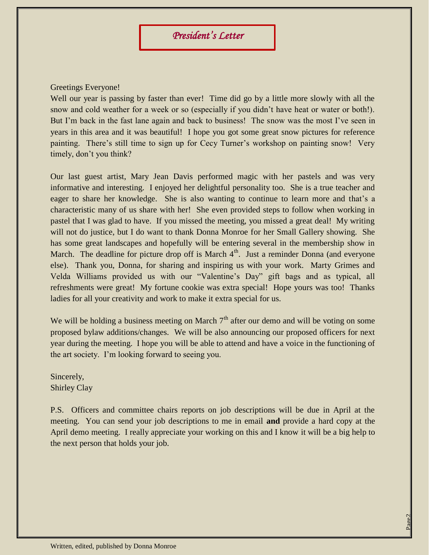## Greetings Everyone!

Well our year is passing by faster than ever! Time did go by a little more slowly with all the snow and cold weather for a week or so (especially if you didn't have heat or water or both!). But I'm back in the fast lane again and back to business! The snow was the most I've seen in years in this area and it was beautiful! I hope you got some great snow pictures for reference painting. There's still time to sign up for Cecy Turner's workshop on painting snow! Very timely, don't you think?

Our last guest artist, Mary Jean Davis performed magic with her pastels and was very informative and interesting. I enjoyed her delightful personality too. She is a true teacher and eager to share her knowledge. She is also wanting to continue to learn more and that's a characteristic many of us share with her! She even provided steps to follow when working in pastel that I was glad to have. If you missed the meeting, you missed a great deal! My writing will not do justice, but I do want to thank Donna Monroe for her Small Gallery showing. She has some great landscapes and hopefully will be entering several in the membership show in March. The deadline for picture drop off is March  $4<sup>th</sup>$ . Just a reminder Donna (and everyone else). Thank you, Donna, for sharing and inspiring us with your work. Marty Grimes and Velda Williams provided us with our "Valentine's Day" gift bags and as typical, all refreshments were great! My fortune cookie was extra special! Hope yours was too! Thanks ladies for all your creativity and work to make it extra special for us.

We will be holding a business meeting on March  $7<sup>th</sup>$  after our demo and will be voting on some proposed bylaw additions/changes. We will be also announcing our proposed officers for next year during the meeting. I hope you will be able to attend and have a voice in the functioning of the art society. I'm looking forward to seeing you.

Sincerely, Shirley Clay

P.S. Officers and committee chairs reports on job descriptions will be due in April at the meeting. You can send your job descriptions to me in email **and** provide a hard copy at the April demo meeting. I really appreciate your working on this and I know it will be a big help to the next person that holds your job.

Page2